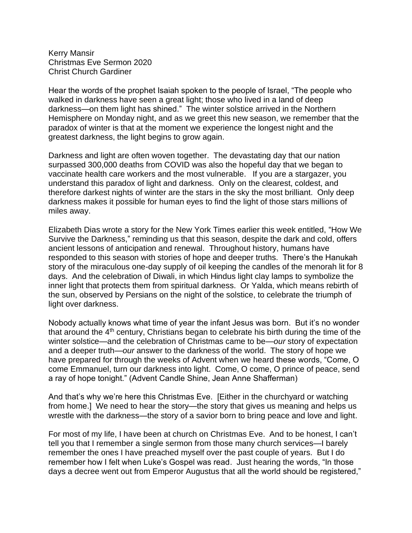Kerry Mansir Christmas Eve Sermon 2020 Christ Church Gardiner

Hear the words of the prophet Isaiah spoken to the people of Israel, "The people who walked in darkness have seen a great light; those who lived in a land of deep darkness—on them light has shined." The winter solstice arrived in the Northern Hemisphere on Monday night, and as we greet this new season, we remember that the paradox of winter is that at the moment we experience the longest night and the greatest darkness, the light begins to grow again.

Darkness and light are often woven together. The devastating day that our nation surpassed 300,000 deaths from COVID was also the hopeful day that we began to vaccinate health care workers and the most vulnerable. If you are a stargazer, you understand this paradox of light and darkness. Only on the clearest, coldest, and therefore darkest nights of winter are the stars in the sky the most brilliant. Only deep darkness makes it possible for human eyes to find the light of those stars millions of miles away.

Elizabeth Dias wrote a story for the New York Times earlier this week entitled, "How We Survive the Darkness," reminding us that this season, despite the dark and cold, offers ancient lessons of anticipation and renewal. Throughout history, humans have responded to this season with stories of hope and deeper truths. There's the Hanukah story of the miraculous one-day supply of oil keeping the candles of the menorah lit for 8 days. And the celebration of Diwali, in which Hindus light clay lamps to symbolize the inner light that protects them from spiritual darkness. Or Yalda, which means rebirth of the sun, observed by Persians on the night of the solstice, to celebrate the triumph of light over darkness.

Nobody actually knows what time of year the infant Jesus was born. But it's no wonder that around the 4<sup>th</sup> century, Christians began to celebrate his birth during the time of the winter solstice—and the celebration of Christmas came to be—*our* story of expectation and a deeper truth—*our* answer to the darkness of the world. The story of hope we have prepared for through the weeks of Advent when we heard these words, "Come, O come Emmanuel, turn our darkness into light. Come, O come, O prince of peace, send a ray of hope tonight." (Advent Candle Shine, Jean Anne Shafferman)

And that's why we're here this Christmas Eve. [Either in the churchyard or watching from home.] We need to hear the story—the story that gives us meaning and helps us wrestle with the darkness—the story of a savior born to bring peace and love and light.

For most of my life, I have been at church on Christmas Eve. And to be honest, I can't tell you that I remember a single sermon from those many church services—I barely remember the ones I have preached myself over the past couple of years. But I do remember how I felt when Luke's Gospel was read. Just hearing the words, "In those days a decree went out from Emperor Augustus that all the world should be registered,"